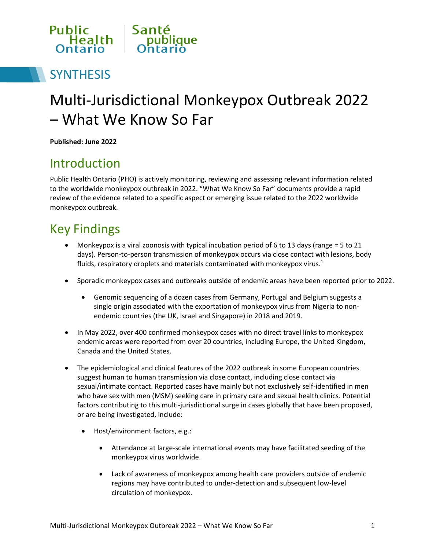

## **SYNTHESIS**

# Multi-Jurisdictional Monkeypox Outbreak 2022 – What We Know So Far

**Published: June 2022**

## Introduction

Public Health Ontario (PHO) is actively monitoring, reviewing and assessing relevant information related to the worldwide monkeypox outbreak in 2022. "What We Know So Far" documents provide a rapid review of the evidence related to a specific aspect or emerging issue related to the 2022 worldwide monkeypox outbreak.

## Key Findings

- Monkeypox is a viral zoonosis with typical incubation period of 6 to 13 days (range  $=$  5 to 21 days). Person-to-person transmission of monkeypox occurs via close contact with lesions, body fluids, respiratory droplets and materials contaminated with monkeypox virus. $1$
- Sporadic monkeypox cases and outbreaks outside of endemic areas have been reported prior to 2022.
	- Genomic sequencing of a dozen cases from Germany, Portugal and Belgium suggests a single origin associated with the exportation of monkeypox virus from Nigeria to nonendemic countries (the UK, Israel and Singapore) in 2018 and 2019.
- In May 2022, over 400 confirmed monkeypox cases with no direct travel links to monkeypox endemic areas were reported from over 20 countries, including Europe, the United Kingdom, Canada and the United States.
- The epidemiological and clinical features of the 2022 outbreak in some European countries suggest human to human transmission via close contact, including close contact via sexual/intimate contact. Reported cases have mainly but not exclusively self-identified in men who have sex with men (MSM) seeking care in primary care and sexual health clinics. Potential factors contributing to this multi-jurisdictional surge in cases globally that have been proposed, or are being investigated, include:
	- Host/environment factors, e.g.:
		- Attendance at large-scale international events may have facilitated seeding of the monkeypox virus worldwide.
		- Lack of awareness of monkeypox among health care providers outside of endemic regions may have contributed to under-detection and subsequent low-level circulation of monkeypox.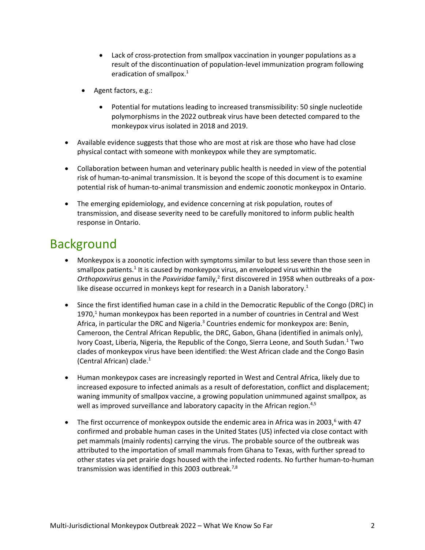- Lack of cross-protection from smallpox vaccination in younger populations as a result of the discontinuation of population-level immunization program following eradication of smallpox.<sup>1</sup>
- Agent factors, e.g.:
	- Potential for mutations leading to increased transmissibility: 50 single nucleotide polymorphisms in the 2022 outbreak virus have been detected compared to the monkeypox virus isolated in 2018 and 2019.
- Available evidence suggests that those who are most at risk are those who have had close physical contact with someone with monkeypox while they are symptomatic.
- Collaboration between human and veterinary public health is needed in view of the potential risk of human-to-animal transmission. It is beyond the scope of this document is to examine potential risk of human-to-animal transmission and endemic zoonotic monkeypox in Ontario.
- The emerging epidemiology, and evidence concerning at risk population, routes of transmission, and disease severity need to be carefully monitored to inform public health response in Ontario.

### Background

- Monkeypox is a zoonotic infection with symptoms similar to but less severe than those seen in smallpox patients.<sup>1</sup> It is caused by monkeypox virus, an enveloped virus within the Orthopoxvirus genus in the Poxviridae family,<sup>2</sup> first discovered in 1958 when outbreaks of a poxlike disease occurred in monkeys kept for research in a Danish laboratory.<sup>1</sup>
- Since the first identified human case in a child in the Democratic Republic of the Congo (DRC) in 1970, $<sup>1</sup>$  human monkeypox has been reported in a number of countries in Central and West</sup> Africa, in particular the DRC and Nigeria.<sup>3</sup> Countries endemic for monkeypox are: Benin, Cameroon, the Central African Republic, the DRC, Gabon, Ghana (identified in animals only), Ivory Coast, Liberia, Nigeria, the Republic of the Congo, Sierra Leone, and South Sudan.<sup>1</sup> Two clades of monkeypox virus have been identified: the West African clade and the Congo Basin (Central African) clade. $1$
- Human monkeypox cases are increasingly reported in West and Central Africa, likely due to increased exposure to infected animals as a result of deforestation, conflict and displacement; waning immunity of smallpox vaccine, a growing population unimmuned against smallpox, as well as improved surveillance and laboratory capacity in the African region.<sup>4,5</sup>
- The first occurrence of monkeypox outside the endemic area in Africa was in 2003,<sup>6</sup> with 47 confirmed and probable human cases in the United States (US) infected via close contact with pet mammals (mainly rodents) carrying the virus. The probable source of the outbreak was attributed to the importation of small mammals from Ghana to Texas, with further spread to other states via pet prairie dogs housed with the infected rodents. No further human-to-human transmission was identified in this 2003 outbreak.<sup>7,8</sup>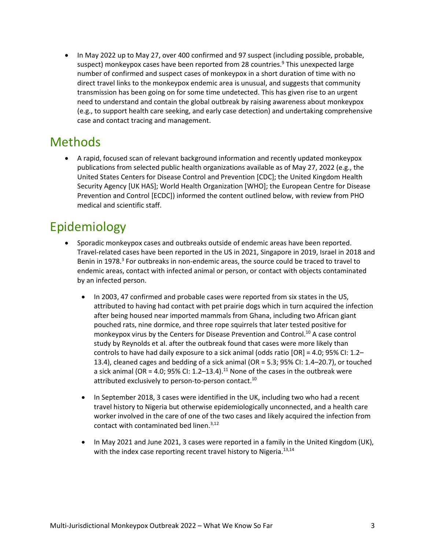• In May 2022 up to May 27, over 400 confirmed and 97 suspect (including possible, probable, suspect) monkeypox cases have been reported from 28 countries.<sup>9</sup> This unexpected large number of confirmed and suspect cases of monkeypox in a short duration of time with no direct travel links to the monkeypox endemic area is unusual, and suggests that community transmission has been going on for some time undetected. This has given rise to an urgent need to understand and contain the global outbreak by raising awareness about monkeypox (e.g., to support health care seeking, and early case detection) and undertaking comprehensive case and contact tracing and management.

## **Methods**

 A rapid, focused scan of relevant background information and recently updated monkeypox publications from selected public health organizations available as of May 27, 2022 (e.g., the United States Centers for Disease Control and Prevention [CDC]; the United Kingdom Health Security Agency [UK HAS]; World Health Organization [WHO]; the European Centre for Disease Prevention and Control [ECDC]) informed the content outlined below, with review from PHO medical and scientific staff.

## Epidemiology

- Sporadic monkeypox cases and outbreaks outside of endemic areas have been reported. Travel-related cases have been reported in the US in 2021, Singapore in 2019, Israel in 2018 and Benin in 1978.<sup>3</sup> For outbreaks in non-endemic areas, the source could be traced to travel to endemic areas, contact with infected animal or person, or contact with objects contaminated by an infected person.
	- In 2003, 47 confirmed and probable cases were reported from six states in the US, attributed to having had contact with pet prairie dogs which in turn acquired the infection after being housed near imported mammals from Ghana, including two African giant pouched rats, nine dormice, and three rope squirrels that later tested positive for monkeypox virus by the Centers for Disease Prevention and Control.<sup>10</sup> A case control study by Reynolds et al. after the outbreak found that cases were more likely than controls to have had daily exposure to a sick animal (odds ratio [OR] = 4.0; 95% CI: 1.2– 13.4), cleaned cages and bedding of a sick animal (OR = 5.3; 95% CI: 1.4–20.7), or touched a sick animal (OR = 4.0; 95% CI: 1.2–13.4).<sup>11</sup> None of the cases in the outbreak were attributed exclusively to person-to-person contact.<sup>10</sup>
	- In September 2018, 3 cases were identified in the UK, including two who had a recent travel history to Nigeria but otherwise epidemiologically unconnected, and a health care worker involved in the care of one of the two cases and likely acquired the infection from contact with contaminated bed linen.<sup>3,12</sup>
	- In May 2021 and June 2021, 3 cases were reported in a family in the United Kingdom (UK), with the index case reporting recent travel history to Nigeria.<sup>13,14</sup>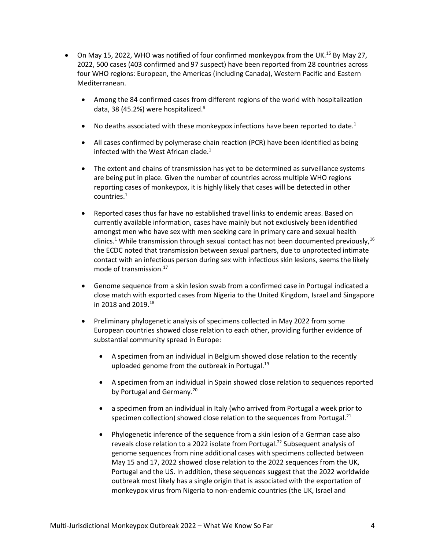- On May 15, 2022, WHO was notified of four confirmed monkeypox from the UK.<sup>15</sup> By May 27, 2022, 500 cases (403 confirmed and 97 suspect) have been reported from 28 countries across four WHO regions: European, the Americas (including Canada), Western Pacific and Eastern Mediterranean.
	- Among the 84 confirmed cases from different regions of the world with hospitalization data, 38 (45.2%) were hospitalized. $9$
	- No deaths associated with these monkeypox infections have been reported to date.<sup>1</sup>
	- All cases confirmed by polymerase chain reaction (PCR) have been identified as being infected with the West African clade. $1$
	- The extent and chains of transmission has yet to be determined as surveillance systems are being put in place. Given the number of countries across multiple WHO regions reporting cases of monkeypox, it is highly likely that cases will be detected in other countries.<sup>1</sup>
	- Reported cases thus far have no established travel links to endemic areas. Based on currently available information, cases have mainly but not exclusively been identified amongst men who have sex with men seeking care in primary care and sexual health clinics.<sup>1</sup> While transmission through sexual contact has not been documented previously,  $^{16}$ the ECDC noted that transmission between sexual partners, due to unprotected intimate contact with an infectious person during sex with infectious skin lesions, seems the likely mode of transmission.<sup>17</sup>
	- Genome sequence from a skin lesion swab from a confirmed case in Portugal indicated a close match with exported cases from Nigeria to the United Kingdom, Israel and Singapore in 2018 and 2019.<sup>18</sup>
	- Preliminary phylogenetic analysis of specimens collected in May 2022 from some European countries showed close relation to each other, providing further evidence of substantial community spread in Europe:
		- A specimen from an individual in Belgium showed close relation to the recently uploaded genome from the outbreak in Portugal.<sup>19</sup>
		- A specimen from an individual in Spain showed close relation to sequences reported by Portugal and Germany.<sup>20</sup>
		- a specimen from an individual in Italy (who arrived from Portugal a week prior to specimen collection) showed close relation to the sequences from Portugal. $^{21}$
		- Phylogenetic inference of the sequence from a skin lesion of a German case also reveals close relation to a 2022 isolate from Portugal.<sup>22</sup> Subsequent analysis of genome sequences from nine additional cases with specimens collected between May 15 and 17, 2022 showed close relation to the 2022 sequences from the UK, Portugal and the US. In addition, these sequences suggest that the 2022 worldwide outbreak most likely has a single origin that is associated with the exportation of monkeypox virus from Nigeria to non-endemic countries (the UK, Israel and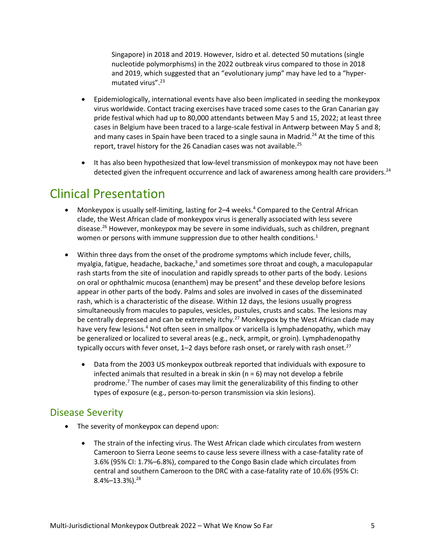Singapore) in 2018 and 2019. However, Isidro et al. detected 50 mutations (single nucleotide polymorphisms) in the 2022 outbreak virus compared to those in 2018 and 2019, which suggested that an "evolutionary jump" may have led to a "hypermutated virus".<sup>23</sup>

- Epidemiologically, international events have also been implicated in seeding the monkeypox virus worldwide. Contact tracing exercises have traced some cases to the Gran Canarian gay pride festival which had up to 80,000 attendants between May 5 and 15, 2022; at least three cases in Belgium have been traced to a large-scale festival in Antwerp between May 5 and 8; and many cases in Spain have been traced to a single sauna in Madrid.<sup>24</sup> At the time of this report, travel history for the 26 Canadian cases was not available.<sup>25</sup>
- It has also been hypothesized that low-level transmission of monkeypox may not have been detected given the infrequent occurrence and lack of awareness among health care providers.<sup>24</sup>

### Clinical Presentation

- Monkeypox is usually self-limiting, lasting for 2–4 weeks.<sup>4</sup> Compared to the Central African clade, the West African clade of monkeypox virus is generally associated with less severe disease.<sup>26</sup> However, monkeypox may be severe in some individuals, such as children, pregnant women or persons with immune suppression due to other health conditions.<sup>1</sup>
- Within three days from the onset of the prodrome symptoms which include fever, chills, myalgia, fatigue, headache, backache,<sup>3</sup> and sometimes sore throat and cough, a maculopapular rash starts from the site of inoculation and rapidly spreads to other parts of the body. Lesions on oral or ophthalmic mucosa (enanthem) may be present<sup>4</sup> and these develop before lesions appear in other parts of the body. Palms and soles are involved in cases of the disseminated rash, which is a characteristic of the disease. Within 12 days, the lesions usually progress simultaneously from macules to papules, vesicles, pustules, crusts and scabs. The lesions may be centrally depressed and can be extremely itchy.<sup>27</sup> Monkeypox by the West African clade may have very few lesions.<sup>4</sup> Not often seen in smallpox or varicella is lymphadenopathy, which may be generalized or localized to several areas (e.g., neck, armpit, or groin). Lymphadenopathy typically occurs with fever onset,  $1-2$  days before rash onset, or rarely with rash onset.<sup>27</sup>
	- Data from the 2003 US monkeypox outbreak reported that individuals with exposure to infected animals that resulted in a break in skin ( $n = 6$ ) may not develop a febrile prodrome.<sup>7</sup> The number of cases may limit the generalizability of this finding to other types of exposure (e.g., person-to-person transmission via skin lesions).

#### Disease Severity

- The severity of monkeypox can depend upon:
	- The strain of the infecting virus. The West African clade which circulates from western Cameroon to Sierra Leone seems to cause less severe illness with a case-fatality rate of 3.6% (95% CI: 1.7%–6.8%), compared to the Congo Basin clade which circulates from central and southern Cameroon to the DRC with a case-fatality rate of 10.6% (95% CI:  $8.4\% - 13.3\%$ ).<sup>28</sup>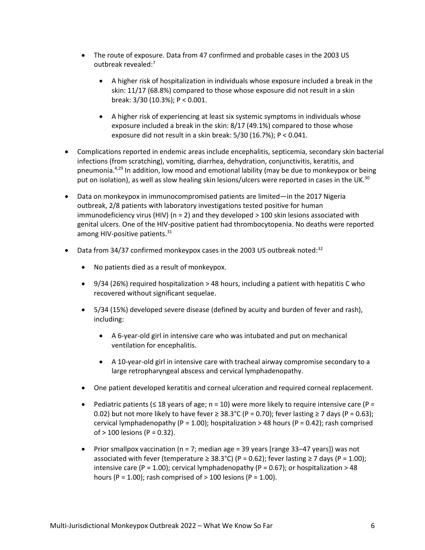- The route of exposure. Data from 47 confirmed and probable cases in the 2003 US outbreak revealed:<sup>7</sup>
	- A higher risk of hospitalization in individuals whose exposure included a break in the skin: 11/17 (68.8%) compared to those whose exposure did not result in a skin break: 3/30 (10.3%); P < 0.001.
	- A higher risk of experiencing at least six systemic symptoms in individuals whose exposure included a break in the skin: 8/17 (49.1%) compared to those whose exposure did not result in a skin break: 5/30 (16.7%); P < 0.041.
- Complications reported in endemic areas include encephalitis, septicemia, secondary skin bacterial infections (from scratching), vomiting, diarrhea, dehydration, conjunctivitis, keratitis, and pneumonia. $4,29$  In addition, low mood and emotional lability (may be due to monkeypox or being put on isolation), as well as slow healing skin lesions/ulcers were reported in cases in the UK.<sup>30</sup>
- Data on monkeypox in immunocompromised patients are limited—in the 2017 Nigeria outbreak, 2/8 patients with laboratory investigations tested positive for human immunodeficiency virus (HIV) (n = 2) and they developed > 100 skin lesions associated with genital ulcers. One of the HIV-positive patient had thrombocytopenia. No deaths were reported among HIV-positive patients.<sup>31</sup>
- Data from 34/37 confirmed monkeypox cases in the 2003 US outbreak noted: $32$ 
	- No patients died as a result of monkeypox.
	- 9/34 (26%) required hospitalization > 48 hours, including a patient with hepatitis C who recovered without significant sequelae.
	- 5/34 (15%) developed severe disease (defined by acuity and burden of fever and rash), including:
		- A 6-year-old girl in intensive care who was intubated and put on mechanical ventilation for encephalitis.
		- A 10-year-old girl in intensive care with tracheal airway compromise secondary to a large retropharyngeal abscess and cervical lymphadenopathy.
	- One patient developed keratitis and corneal ulceration and required corneal replacement.
	- Pediatric patients ( $\leq$  18 years of age; n = 10) were more likely to require intensive care (P = 0.02) but not more likely to have fever  $\geq 38.3^{\circ}$  (P = 0.70); fever lasting  $\geq 7$  days (P = 0.63); cervical lymphadenopathy (P = 1.00); hospitalization > 48 hours (P = 0.42); rash comprised of > 100 lesions (P = 0.32).
	- Prior smallpox vaccination ( $n = 7$ ; median age = 39 years [range 33–47 years]) was not associated with fever (temperature ≥ 38.3°C) (P = 0.62); fever lasting ≥ 7 days (P = 1.00); intensive care (P = 1.00); cervical lymphadenopathy (P = 0.67); or hospitalization > 48 hours (P = 1.00); rash comprised of  $>$  100 lesions (P = 1.00).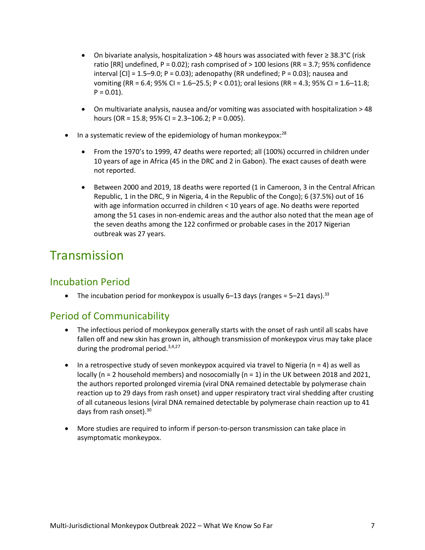- On bivariate analysis, hospitalization > 48 hours was associated with fever ≥ 38.3°C (risk ratio [RR] undefined,  $P = 0.02$ ]; rash comprised of  $> 100$  lesions (RR = 3.7; 95% confidence interval  $[CI] = 1.5-9.0; P = 0.03$ ; adenopathy (RR undefined;  $P = 0.03$ ); nausea and vomiting (RR = 6.4; 95% CI = 1.6–25.5; P < 0.01); oral lesions (RR = 4.3; 95% CI = 1.6–11.8;  $P = 0.01$ ).
- On multivariate analysis, nausea and/or vomiting was associated with hospitalization > 48 hours (OR = 15.8; 95% CI = 2.3–106.2; P = 0.005).
- In a systematic review of the epidemiology of human monkeypox: $^{28}$ 
	- From the 1970's to 1999, 47 deaths were reported; all (100%) occurred in children under 10 years of age in Africa (45 in the DRC and 2 in Gabon). The exact causes of death were not reported.
	- Between 2000 and 2019, 18 deaths were reported (1 in Cameroon, 3 in the Central African Republic, 1 in the DRC, 9 in Nigeria, 4 in the Republic of the Congo); 6 (37.5%) out of 16 with age information occurred in children < 10 years of age. No deaths were reported among the 51 cases in non-endemic areas and the author also noted that the mean age of the seven deaths among the 122 confirmed or probable cases in the 2017 Nigerian outbreak was 27 years.

## Transmission

### Incubation Period

• The incubation period for monkeypox is usually 6–13 days (ranges =  $5-21$  days).<sup>33</sup>

### Period of Communicability

- The infectious period of monkeypox generally starts with the onset of rash until all scabs have fallen off and new skin has grown in, although transmission of monkeypox virus may take place during the prodromal period. $3,4,27$
- In a retrospective study of seven monkeypox acquired via travel to Nigeria ( $n = 4$ ) as well as locally (n = 2 household members) and nosocomially (n = 1) in the UK between 2018 and 2021, the authors reported prolonged viremia (viral DNA remained detectable by polymerase chain reaction up to 29 days from rash onset) and upper respiratory tract viral shedding after crusting of all cutaneous lesions (viral DNA remained detectable by polymerase chain reaction up to 41 days from rash onset).<sup>30</sup>
- More studies are required to inform if person-to-person transmission can take place in asymptomatic monkeypox.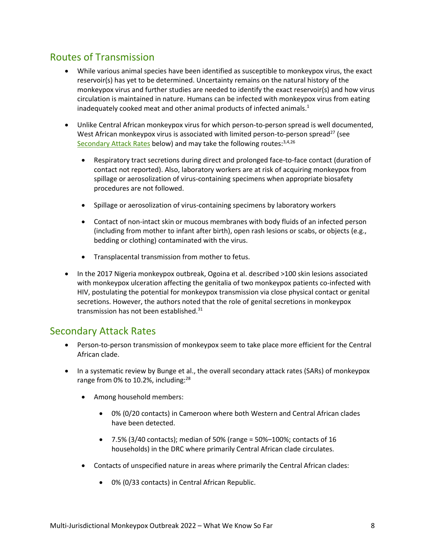### Routes of Transmission

- While various animal species have been identified as susceptible to monkeypox virus, the exact reservoir(s) has yet to be determined. Uncertainty remains on the natural history of the monkeypox virus and further studies are needed to identify the exact reservoir(s) and how virus circulation is maintained in nature. Humans can be infected with monkeypox virus from eating inadequately cooked meat and other animal products of infected animals.<sup>1</sup>
- Unlike Central African monkeypox virus for which person-to-person spread is well documented, West African monkeypox virus is associated with limited person-to-person spread<sup>27</sup> (see [Secondary Attack Rates](#page-7-0) below) and may take the following routes: 3,4,26
	- Respiratory tract secretions during direct and prolonged face-to-face contact (duration of contact not reported). Also, laboratory workers are at risk of acquiring monkeypox from spillage or aerosolization of virus-containing specimens when appropriate biosafety procedures are not followed.
	- Spillage or aerosolization of virus-containing specimens by laboratory workers
	- Contact of non-intact skin or mucous membranes with body fluids of an infected person (including from mother to infant after birth), open rash lesions or scabs, or objects (e.g., bedding or clothing) contaminated with the virus.
	- Transplacental transmission from mother to fetus.
- In the 2017 Nigeria monkeypox outbreak, Ogoina et al. described >100 skin lesions associated with monkeypox ulceration affecting the genitalia of two monkeypox patients co-infected with HIV, postulating the potential for monkeypox transmission via close physical contact or genital secretions. However, the authors noted that the role of genital secretions in monkeypox transmission has not been established. $31$

### <span id="page-7-0"></span>Secondary Attack Rates

- Person-to-person transmission of monkeypox seem to take place more efficient for the Central African clade.
- In a systematic review by Bunge et al., the overall secondary attack rates (SARs) of monkeypox range from 0% to 10.2%, including:<sup>28</sup>
	- Among household members:
		- 0% (0/20 contacts) in Cameroon where both Western and Central African clades have been detected.
		- $\bullet$  7.5% (3/40 contacts); median of 50% (range = 50%-100%; contacts of 16 households) in the DRC where primarily Central African clade circulates.
	- Contacts of unspecified nature in areas where primarily the Central African clades:
		- 0% (0/33 contacts) in Central African Republic.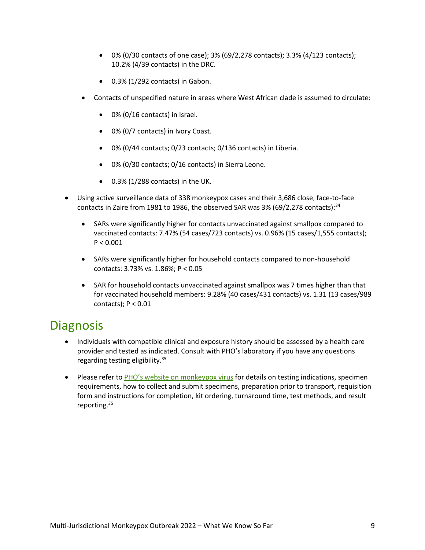- 0% (0/30 contacts of one case); 3% (69/2,278 contacts); 3.3% (4/123 contacts); 10.2% (4/39 contacts) in the DRC.
- $\bullet$  0.3% (1/292 contacts) in Gabon.
- Contacts of unspecified nature in areas where West African clade is assumed to circulate:
	- 0% (0/16 contacts) in Israel.
	- 0% (0/7 contacts) in Ivory Coast.
	- 0% (0/44 contacts; 0/23 contacts; 0/136 contacts) in Liberia.
	- 0% (0/30 contacts; 0/16 contacts) in Sierra Leone.
	- $\bullet$  0.3% (1/288 contacts) in the UK.
- Using active surveillance data of 338 monkeypox cases and their 3,686 close, face-to-face contacts in Zaire from 1981 to 1986, the observed SAR was 3% (69/2,278 contacts): $34$ 
	- SARs were significantly higher for contacts unvaccinated against smallpox compared to vaccinated contacts: 7.47% (54 cases/723 contacts) vs. 0.96% (15 cases/1,555 contacts);  $P < 0.001$
	- SARs were significantly higher for household contacts compared to non-household contacts: 3.73% vs. 1.86%; P < 0.05
	- SAR for household contacts unvaccinated against smallpox was 7 times higher than that for vaccinated household members: 9.28% (40 cases/431 contacts) vs. 1.31 (13 cases/989 contacts);  $P < 0.01$

### **Diagnosis**

- Individuals with compatible clinical and exposure history should be assessed by a health care provider and tested as indicated. Consult with PHO's laboratory if you have any questions regarding testing eligibility.<sup>35</sup>
- Please refer to [PHO's website on monkeypox virus](https://www.publichealthontario.ca/en/Laboratory-Services/Test-Information-Index/Monkeypox-Virus) for details on testing indications, specimen requirements, how to collect and submit specimens, preparation prior to transport, requisition form and instructions for completion, kit ordering, turnaround time, test methods, and result reporting.35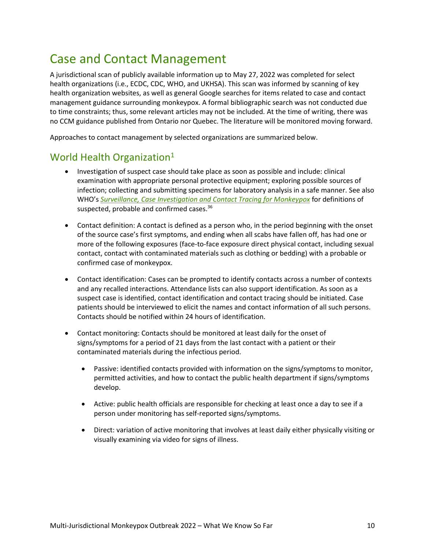## Case and Contact Management

A jurisdictional scan of publicly available information up to May 27, 2022 was completed for select health organizations (i.e., ECDC, CDC, WHO, and UKHSA). This scan was informed by scanning of key health organization websites, as well as general Google searches for items related to case and contact management guidance surrounding monkeypox. A formal bibliographic search was not conducted due to time constraints; thus, some relevant articles may not be included. At the time of writing, there was no CCM guidance published from Ontario nor Quebec. The literature will be monitored moving forward.

Approaches to contact management by selected organizations are summarized below.

### World Health Organization<sup>1</sup>

- Investigation of suspect case should take place as soon as possible and include: clinical examination with appropriate personal protective equipment; exploring possible sources of infection; collecting and submitting specimens for laboratory analysis in a safe manner. See also WHO's *[Surveillance, Case Investigation and Contact Tracing for Monkeypox](https://apps.who.int/iris/rest/bitstreams/1425000/retrieve)* for definitions of suspected, probable and confirmed cases.<sup>36</sup>
- Contact definition: A contact is defined as a person who, in the period beginning with the onset of the source case's first symptoms, and ending when all scabs have fallen off, has had one or more of the following exposures (face-to-face exposure direct physical contact, including sexual contact, contact with contaminated materials such as clothing or bedding) with a probable or confirmed case of monkeypox.
- Contact identification: Cases can be prompted to identify contacts across a number of contexts and any recalled interactions. Attendance lists can also support identification. As soon as a suspect case is identified, contact identification and contact tracing should be initiated. Case patients should be interviewed to elicit the names and contact information of all such persons. Contacts should be notified within 24 hours of identification.
- Contact monitoring: Contacts should be monitored at least daily for the onset of signs/symptoms for a period of 21 days from the last contact with a patient or their contaminated materials during the infectious period.
	- Passive: identified contacts provided with information on the signs/symptoms to monitor, permitted activities, and how to contact the public health department if signs/symptoms develop.
	- Active: public health officials are responsible for checking at least once a day to see if a person under monitoring has self-reported signs/symptoms.
	- Direct: variation of active monitoring that involves at least daily either physically visiting or visually examining via video for signs of illness.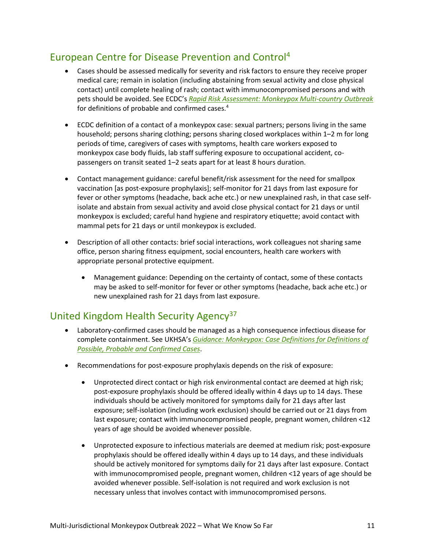### European Centre for Disease Prevention and Control<sup>4</sup>

- Cases should be assessed medically for severity and risk factors to ensure they receive proper medical care; remain in isolation (including abstaining from sexual activity and close physical contact) until complete healing of rash; contact with immunocompromised persons and with pets should be avoided. See ECDC's *[Rapid Risk Assessment: Monkeypox Multi-country Outbreak](https://www.ecdc.europa.eu/sites/default/files/documents/Monkeypox-multi-country-outbreak.pdf)* for definitions of probable and confirmed cases.<sup>4</sup>
- ECDC definition of a contact of a monkeypox case: sexual partners; persons living in the same household; persons sharing clothing; persons sharing closed workplaces within 1–2 m for long periods of time, caregivers of cases with symptoms, health care workers exposed to monkeypox case body fluids, lab staff suffering exposure to occupational accident, copassengers on transit seated 1–2 seats apart for at least 8 hours duration.
- Contact management guidance: careful benefit/risk assessment for the need for smallpox vaccination [as post-exposure prophylaxis]; self-monitor for 21 days from last exposure for fever or other symptoms (headache, back ache etc.) or new unexplained rash, in that case selfisolate and abstain from sexual activity and avoid close physical contact for 21 days or until monkeypox is excluded; careful hand hygiene and respiratory etiquette; avoid contact with mammal pets for 21 days or until monkeypox is excluded.
- Description of all other contacts: brief social interactions, work colleagues not sharing same office, person sharing fitness equipment, social encounters, health care workers with appropriate personal protective equipment.
	- Management guidance: Depending on the certainty of contact, some of these contacts may be asked to self-monitor for fever or other symptoms (headache, back ache etc.) or new unexplained rash for 21 days from last exposure.

### United Kingdom Health Security Agency<sup>37</sup>

- Laboratory-confirmed cases should be managed as a high consequence infectious disease for complete containment. See UKHSA's *[Guidance: Monkeypox: Case Definitions for Definitions of](https://www.gov.uk/guidance/monkeypox-case-definitions?utm_medium=email&utm_campaign=govuk-notifications-topic&utm_source=facc962b-eb5d-46b4-bf5b-dac42e6ffaad&utm_content=immediatelyhttps://www.gov.uk/guidance/monkeypox-case-definitions?utm_medium=email&utm_campaign=govuk-notifications-topic&utm_source=facc962b-eb5d-46b4-bf5b-dac42e6ffaad&utm_content=immediately)  [Possible, Probable and Confirmed Cases](https://www.gov.uk/guidance/monkeypox-case-definitions?utm_medium=email&utm_campaign=govuk-notifications-topic&utm_source=facc962b-eb5d-46b4-bf5b-dac42e6ffaad&utm_content=immediatelyhttps://www.gov.uk/guidance/monkeypox-case-definitions?utm_medium=email&utm_campaign=govuk-notifications-topic&utm_source=facc962b-eb5d-46b4-bf5b-dac42e6ffaad&utm_content=immediately)*.
- Recommendations for post-exposure prophylaxis depends on the risk of exposure:
	- Unprotected direct contact or high risk environmental contact are deemed at high risk; post-exposure prophylaxis should be offered ideally within 4 days up to 14 days. These individuals should be actively monitored for symptoms daily for 21 days after last exposure; self-isolation (including work exclusion) should be carried out or 21 days from last exposure; contact with immunocompromised people, pregnant women, children <12 years of age should be avoided whenever possible.
	- Unprotected exposure to infectious materials are deemed at medium risk; post-exposure prophylaxis should be offered ideally within 4 days up to 14 days, and these individuals should be actively monitored for symptoms daily for 21 days after last exposure. Contact with immunocompromised people, pregnant women, children <12 years of age should be avoided whenever possible. Self-isolation is not required and work exclusion is not necessary unless that involves contact with immunocompromised persons.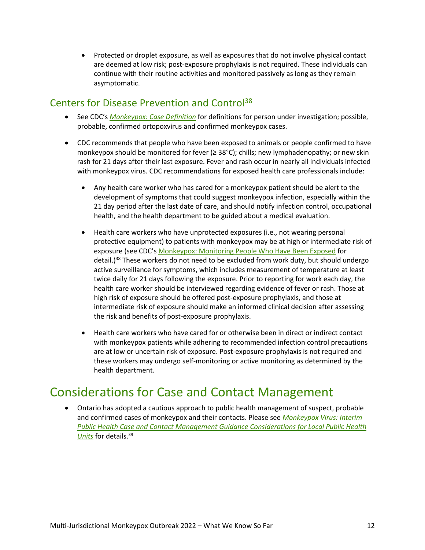Protected or droplet exposure, as well as exposures that do not involve physical contact are deemed at low risk; post-exposure prophylaxis is not required. These individuals can continue with their routine activities and monitored passively as long as they remain asymptomatic.

### Centers for Disease Prevention and Control<sup>38</sup>

- See CDC's *[Monkeypox: Case Definition](https://www.cdc.gov/poxvirus/monkeypox/clinicians/case-definition.html)* for definitions for person under investigation; possible, probable, confirmed ortopoxvirus and confirmed monkeypox cases.
- CDC recommends that people who have been exposed to animals or people confirmed to have monkeypox should be monitored for fever (≥ 38°C); chills; new lymphadenopathy; or new skin rash for 21 days after their last exposure. Fever and rash occur in nearly all individuals infected with monkeypox virus. CDC recommendations for exposed health care professionals include:
	- Any health care worker who has cared for a monkeypox patient should be alert to the development of symptoms that could suggest monkeypox infection, especially within the 21 day period after the last date of care, and should notify infection control, occupational health, and the health department to be guided about a medical evaluation.
	- Health care workers who have unprotected exposures (i.e., not wearing personal protective equipment) to patients with monkeypox may be at high or intermediate risk of exposure (see CDC's [Monkeypox: Monitoring People Who Have Been Exposed](https://www.cdc.gov/poxvirus/monkeypox/clinicians/monitoring.html) for detail.)<sup>38</sup> These workers do not need to be excluded from work duty, but should undergo active surveillance for symptoms, which includes measurement of temperature at least twice daily for 21 days following the exposure. Prior to reporting for work each day, the health care worker should be interviewed regarding evidence of fever or rash. Those at high risk of exposure should be offered post-exposure prophylaxis, and those at intermediate risk of exposure should make an informed clinical decision after assessing the risk and benefits of post-exposure prophylaxis.
	- Health care workers who have cared for or otherwise been in direct or indirect contact with monkeypox patients while adhering to recommended infection control precautions are at low or uncertain risk of exposure. Post-exposure prophylaxis is not required and these workers may undergo self-monitoring or active monitoring as determined by the health department.

## Considerations for Case and Contact Management

 Ontario has adopted a cautious approach to public health management of suspect, probable and confirmed cases of monkeypox and their contacts. Please see *[Monkeypox Virus: Interim](https://www.publichealthontario.ca/-/media/Documents/M/2022/monkeypox-virus-interim-case-contact-management-guidance-phu.pdf?sc_lang=enhttps://www.publichealthontario.ca/-/media/Documents/M/2022/monkeypox-virus-interim-case-contact-management-guidance-phu.pdf?sc_lang=en)  [Public Health Case and Contact Management Guidance Considerations for Local Public Health](https://www.publichealthontario.ca/-/media/Documents/M/2022/monkeypox-virus-interim-case-contact-management-guidance-phu.pdf?sc_lang=enhttps://www.publichealthontario.ca/-/media/Documents/M/2022/monkeypox-virus-interim-case-contact-management-guidance-phu.pdf?sc_lang=en)  [Units](https://www.publichealthontario.ca/-/media/Documents/M/2022/monkeypox-virus-interim-case-contact-management-guidance-phu.pdf?sc_lang=enhttps://www.publichealthontario.ca/-/media/Documents/M/2022/monkeypox-virus-interim-case-contact-management-guidance-phu.pdf?sc_lang=en)* for details.39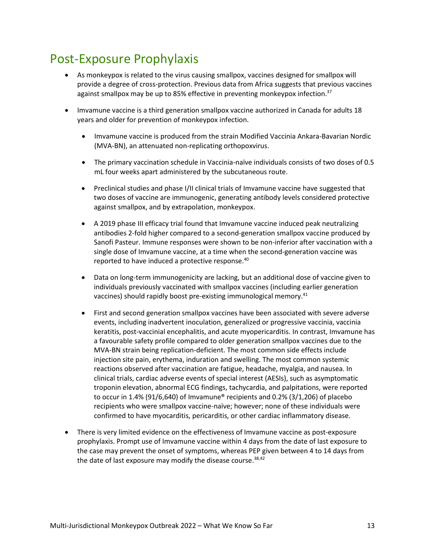## Post-Exposure Prophylaxis

- As monkeypox is related to the virus causing smallpox, vaccines designed for smallpox will provide a degree of cross-protection. Previous data from Africa suggests that previous vaccines against smallpox may be up to 85% effective in preventing monkeypox infection.<sup>37</sup>
- Imvamune vaccine is a third generation smallpox vaccine authorized in Canada for adults 18 years and older for prevention of monkeypox infection.
	- Imvamune vaccine is produced from the strain Modified Vaccinia Ankara-Bavarian Nordic (MVA-BN), an attenuated non-replicating orthopoxvirus.
	- The primary vaccination schedule in Vaccinia-naïve individuals consists of two doses of 0.5 mL four weeks apart administered by the subcutaneous route.
	- Preclinical studies and phase I/II clinical trials of Imvamune vaccine have suggested that two doses of vaccine are immunogenic, generating antibody levels considered protective against smallpox, and by extrapolation, monkeypox.
	- A 2019 phase III efficacy trial found that Imvamune vaccine induced peak neutralizing antibodies 2-fold higher compared to a second-generation smallpox vaccine produced by Sanofi Pasteur. Immune responses were shown to be non-inferior after vaccination with a single dose of Imvamune vaccine, at a time when the second-generation vaccine was reported to have induced a protective response.<sup>40</sup>
	- Data on long-term immunogenicity are lacking, but an additional dose of vaccine given to individuals previously vaccinated with smallpox vaccines (including earlier generation vaccines) should rapidly boost pre-existing immunological memory.<sup>41</sup>
	- First and second generation smallpox vaccines have been associated with severe adverse events, including inadvertent inoculation, generalized or progressive vaccinia, vaccinia keratitis, post-vaccinial encephalitis, and acute myopericarditis. In contrast, Imvamune has a favourable safety profile compared to older generation smallpox vaccines due to the MVA-BN strain being replication-deficient. The most common side effects include injection site pain, erythema, induration and swelling. The most common systemic reactions observed after vaccination are fatigue, headache, myalgia, and nausea. In clinical trials, cardiac adverse events of special interest (AESIs), such as asymptomatic troponin elevation, abnormal ECG findings, tachycardia, and palpitations, were reported to occur in 1.4% (91/6,640) of Imvamune® recipients and 0.2% (3/1,206) of placebo recipients who were smallpox vaccine-naïve; however; none of these individuals were confirmed to have myocarditis, pericarditis, or other cardiac inflammatory disease.
- There is very limited evidence on the effectiveness of Imvamune vaccine as post-exposure prophylaxis. Prompt use of Imvamune vaccine within 4 days from the date of last exposure to the case may prevent the onset of symptoms, whereas PEP given between 4 to 14 days from the date of last exposure may modify the disease course.  $38,42$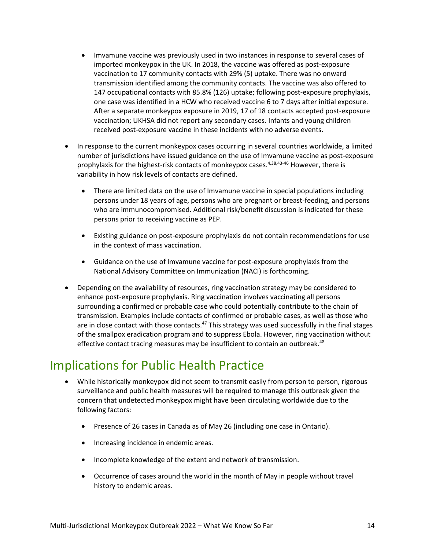- Imvamune vaccine was previously used in two instances in response to several cases of imported monkeypox in the UK. In 2018, the vaccine was offered as post-exposure vaccination to 17 community contacts with 29% (5) uptake. There was no onward transmission identified among the community contacts. The vaccine was also offered to 147 occupational contacts with 85.8% (126) uptake; following post-exposure prophylaxis, one case was identified in a HCW who received vaccine 6 to 7 days after initial exposure. After a separate monkeypox exposure in 2019, 17 of 18 contacts accepted post-exposure vaccination; UKHSA did not report any secondary cases. Infants and young children received post-exposure vaccine in these incidents with no adverse events.
- In response to the current monkeypox cases occurring in several countries worldwide, a limited number of jurisdictions have issued guidance on the use of Imvamune vaccine as post-exposure prophylaxis for the highest-risk contacts of monkeypox cases.<sup>4,38,43-46</sup> However, there is variability in how risk levels of contacts are defined.
	- There are limited data on the use of Imvamune vaccine in special populations including persons under 18 years of age, persons who are pregnant or breast-feeding, and persons who are immunocompromised. Additional risk/benefit discussion is indicated for these persons prior to receiving vaccine as PEP.
	- Existing guidance on post-exposure prophylaxis do not contain recommendations for use in the context of mass vaccination.
	- Guidance on the use of Imvamune vaccine for post-exposure prophylaxis from the National Advisory Committee on Immunization (NACI) is forthcoming.
- Depending on the availability of resources, ring vaccination strategy may be considered to enhance post-exposure prophylaxis. Ring vaccination involves vaccinating all persons surrounding a confirmed or probable case who could potentially contribute to the chain of transmission. Examples include contacts of confirmed or probable cases, as well as those who are in close contact with those contacts.<sup>47</sup> This strategy was used successfully in the final stages of the smallpox eradication program and to suppress Ebola. However, ring vaccination without effective contact tracing measures may be insufficient to contain an outbreak.<sup>48</sup>

## Implications for Public Health Practice

- While historically monkeypox did not seem to transmit easily from person to person, rigorous surveillance and public health measures will be required to manage this outbreak given the concern that undetected monkeypox might have been circulating worldwide due to the following factors:
	- Presence of 26 cases in Canada as of May 26 (including one case in Ontario).
	- Increasing incidence in endemic areas.
	- Incomplete knowledge of the extent and network of transmission.
	- Occurrence of cases around the world in the month of May in people without travel history to endemic areas.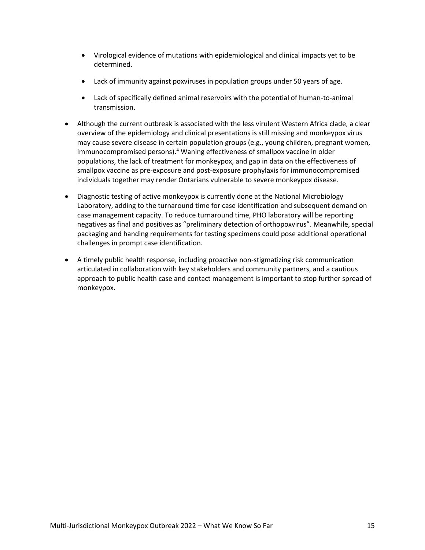- Virological evidence of mutations with epidemiological and clinical impacts yet to be determined.
- Lack of immunity against poxviruses in population groups under 50 years of age.
- Lack of specifically defined animal reservoirs with the potential of human-to-animal transmission.
- Although the current outbreak is associated with the less virulent Western Africa clade, a clear overview of the epidemiology and clinical presentations is still missing and monkeypox virus may cause severe disease in certain population groups (e.g., young children, pregnant women, immunocompromised persons).<sup>4</sup> Waning effectiveness of smallpox vaccine in older populations, the lack of treatment for monkeypox, and gap in data on the effectiveness of smallpox vaccine as pre-exposure and post-exposure prophylaxis for immunocompromised individuals together may render Ontarians vulnerable to severe monkeypox disease.
- Diagnostic testing of active monkeypox is currently done at the National Microbiology Laboratory, adding to the turnaround time for case identification and subsequent demand on case management capacity. To reduce turnaround time, PHO laboratory will be reporting negatives as final and positives as "preliminary detection of orthopoxvirus". Meanwhile, special packaging and handing requirements for testing specimens could pose additional operational challenges in prompt case identification.
- A timely public health response, including proactive non-stigmatizing risk communication articulated in collaboration with key stakeholders and community partners, and a cautious approach to public health case and contact management is important to stop further spread of monkeypox.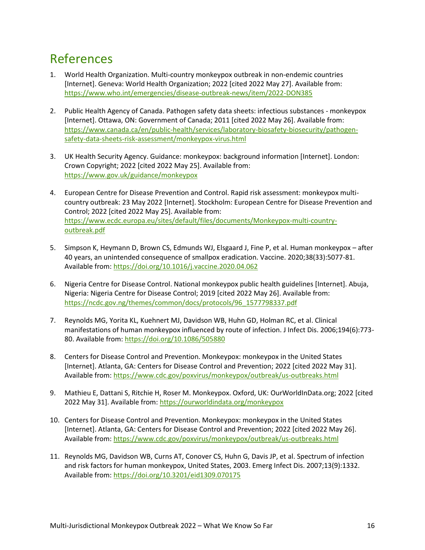## References

- 1. World Health Organization. Multi-country monkeypox outbreak in non-endemic countries [Internet]. Geneva: World Health Organization; 2022 [cited 2022 May 27]. Available from: [https://www.who.int/emergencies/disease-outbreak-news/item/2022-DON385](http://www.who.int/emergencies/disease-outbreak-news/item/2022-DON385)
- 2. Public Health Agency of Canada. Pathogen safety data sheets: infectious substances monkeypox [Internet]. Ottawa, ON: Government of Canada; 2011 [cited 2022 May 26]. Available from: [https://www.canada.ca/en/public-health/services/laboratory-biosafety-biosecurity/pathogen](http://www.canada.ca/en/public-health/services/laboratory-biosafety-biosecurity/pathogen-safety-data-sheets-risk-assessment/monkeypox-virus.html)[safety-data-sheets-risk-assessment/monkeypox-virus.html](http://www.canada.ca/en/public-health/services/laboratory-biosafety-biosecurity/pathogen-safety-data-sheets-risk-assessment/monkeypox-virus.html)
- 3. UK Health Security Agency. Guidance: monkeypox: background information [Internet]. London: Crown Copyright; 2022 [cited 2022 May 25]. Available from: [https://www.gov.uk/guidance/monkeypox](http://www.gov.uk/guidance/monkeypox)
- 4. European Centre for Disease Prevention and Control. Rapid risk assessment: monkeypox multicountry outbreak: 23 May 2022 [Internet]. Stockholm: European Centre for Disease Prevention and Control; 2022 [cited 2022 May 25]. Available from: [https://www.ecdc.europa.eu/sites/default/files/documents/Monkeypox-multi-country](http://www.ecdc.europa.eu/sites/default/files/documents/Monkeypox-multi-country-outbreak.pdf)[outbreak.pdf](http://www.ecdc.europa.eu/sites/default/files/documents/Monkeypox-multi-country-outbreak.pdf)
- 5. Simpson K, Heymann D, Brown CS, Edmunds WJ, Elsgaard J, Fine P, et al. Human monkeypox after 40 years, an unintended consequence of smallpox eradication. Vaccine. 2020;38(33):5077-81. Available from[: https://doi.org/10.1016/j.vaccine.2020.04.062](https://doi.org/10.1016/j.vaccine.2020.04.062)
- 6. Nigeria Centre for Disease Control. National monkeypox public health guidelines [Internet]. Abuja, Nigeria: Nigeria Centre for Disease Control; 2019 [cited 2022 May 26]. Available from: [https://ncdc.gov.ng/themes/common/docs/protocols/96\\_1577798337.pdf](https://ncdc.gov.ng/themes/common/docs/protocols/96_1577798337.pdf)
- 7. Reynolds MG, Yorita KL, Kuehnert MJ, Davidson WB, Huhn GD, Holman RC, et al. Clinical manifestations of human monkeypox influenced by route of infection. J Infect Dis. 2006;194(6):773- 80. Available from:<https://doi.org/10.1086/505880>
- 8. Centers for Disease Control and Prevention. Monkeypox: monkeypox in the United States [Internet]. Atlanta, GA: Centers for Disease Control and Prevention; 2022 [cited 2022 May 31]. Available from[: https://www.cdc.gov/poxvirus/monkeypox/outbreak/us-outbreaks.html](http://www.cdc.gov/poxvirus/monkeypox/outbreak/us-outbreaks.html)
- 9. Mathieu E, Dattani S, Ritchie H, Roser M. Monkeypox. Oxford, UK: OurWorldInData.org; 2022 [cited 2022 May 31]. Available from:<https://ourworldindata.org/monkeypox>
- 10. Centers for Disease Control and Prevention. Monkeypox: monkeypox in the United States [Internet]. Atlanta, GA: Centers for Disease Control and Prevention; 2022 [cited 2022 May 26]. Available from[: https://www.cdc.gov/poxvirus/monkeypox/outbreak/us-outbreaks.html](http://www.cdc.gov/poxvirus/monkeypox/outbreak/us-outbreaks.html)
- 11. Reynolds MG, Davidson WB, Curns AT, Conover CS, Huhn G, Davis JP, et al. Spectrum of infection and risk factors for human monkeypox, United States, 2003. Emerg Infect Dis. 2007;13(9):1332. Available from[: https://doi.org/10.3201/eid1309.070175](https://doi.org/10.3201/eid1309.070175)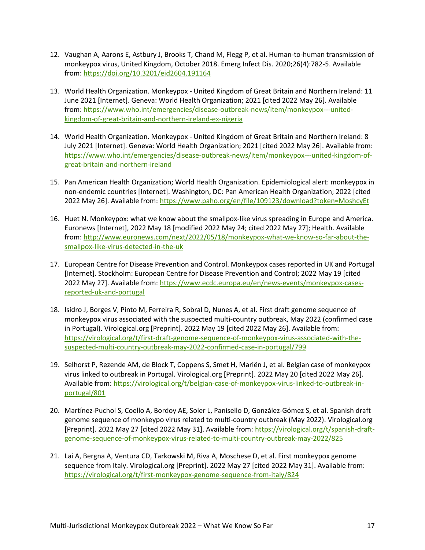- 12. Vaughan A, Aarons E, Astbury J, Brooks T, Chand M, Flegg P, et al. Human-to-human transmission of monkeypox virus, United Kingdom, October 2018. Emerg Infect Dis. 2020;26(4):782-5. Available from:<https://doi.org/10.3201/eid2604.191164>
- 13. World Health Organization. Monkeypox United Kingdom of Great Britain and Northern Ireland: 11 June 2021 [Internet]. Geneva: World Health Organization; 2021 [cited 2022 May 26]. Available from: [https://www.who.int/emergencies/disease-outbreak-news/item/monkeypox---united](http://www.who.int/emergencies/disease-outbreak-news/item/monkeypox---united-kingdom-of-great-britain-and-northern-ireland-ex-nigeria)[kingdom-of-great-britain-and-northern-ireland-ex-nigeria](http://www.who.int/emergencies/disease-outbreak-news/item/monkeypox---united-kingdom-of-great-britain-and-northern-ireland-ex-nigeria)
- 14. World Health Organization. Monkeypox United Kingdom of Great Britain and Northern Ireland: 8 July 2021 [Internet]. Geneva: World Health Organization; 2021 [cited 2022 May 26]. Available from: [https://www.who.int/emergencies/disease-outbreak-news/item/monkeypox---united-kingdom-of](http://www.who.int/emergencies/disease-outbreak-news/item/monkeypox---united-kingdom-of-great-britain-and-northern-ireland)[great-britain-and-northern-ireland](http://www.who.int/emergencies/disease-outbreak-news/item/monkeypox---united-kingdom-of-great-britain-and-northern-ireland)
- 15. Pan American Health Organization; World Health Organization. Epidemiological alert: monkeypox in non-endemic countries [Internet]. Washington, DC: Pan American Health Organization; 2022 [cited 2022 May 26]. Available from: [https://www.paho.org/en/file/109123/download?token=MoshcyEt](http://www.paho.org/en/file/109123/download?token=MoshcyEt)
- 16. Huet N. Monkeypox: what we know about the smallpox-like virus spreading in Europe and America. Euronews [Internet], 2022 May 18 [modified 2022 May 24; cited 2022 May 27]; Health. Available from: [http://www.euronews.com/next/2022/05/18/monkeypox-what-we-know-so-far-about-the](http://www.euronews.com/next/2022/05/18/monkeypox-what-we-know-so-far-about-the-smallpox-like-virus-detected-in-the-uk)[smallpox-like-virus-detected-in-the-uk](http://www.euronews.com/next/2022/05/18/monkeypox-what-we-know-so-far-about-the-smallpox-like-virus-detected-in-the-uk)
- 17. European Centre for Disease Prevention and Control. Monkeypox cases reported in UK and Portugal [Internet]. Stockholm: European Centre for Disease Prevention and Control; 2022 May 19 [cited 2022 May 27]. Available from: [https://www.ecdc.europa.eu/en/news-events/monkeypox-cases](http://www.ecdc.europa.eu/en/news-events/monkeypox-cases-reported-uk-and-portugal)[reported-uk-and-portugal](http://www.ecdc.europa.eu/en/news-events/monkeypox-cases-reported-uk-and-portugal)
- 18. Isidro J, Borges V, Pinto M, Ferreira R, Sobral D, Nunes A, et al. First draft genome sequence of monkeypox virus associated with the suspected multi-country outbreak, May 2022 (confirmed case in Portugal). Virological.org [Preprint]. 2022 May 19 [cited 2022 May 26]. Available from: [https://virological.org/t/first-draft-genome-sequence-of-monkeypox-virus-associated-with-the](https://virological.org/t/first-draft-genome-sequence-of-monkeypox-virus-associated-with-the-suspected-multi-country-outbreak-may-2022-confirmed-case-in-portugal/799)[suspected-multi-country-outbreak-may-2022-confirmed-case-in-portugal/799](https://virological.org/t/first-draft-genome-sequence-of-monkeypox-virus-associated-with-the-suspected-multi-country-outbreak-may-2022-confirmed-case-in-portugal/799)
- 19. Selhorst P, Rezende AM, de Block T, Coppens S, Smet H, Mariën J, et al. Belgian case of monkeypox virus linked to outbreak in Portugal. Virological.org [Preprint]. 2022 May 20 [cited 2022 May 26]. Available from[: https://virological.org/t/belgian-case-of-monkeypox-virus-linked-to-outbreak-in](https://virological.org/t/belgian-case-of-monkeypox-virus-linked-to-outbreak-in-portugal/801)[portugal/801](https://virological.org/t/belgian-case-of-monkeypox-virus-linked-to-outbreak-in-portugal/801)
- 20. Martínez-Puchol S, Coello A, Bordoy AE, Soler L, Panisello D, González-Gómez S, et al. Spanish draft genome sequence of monkeypo virus related to multi-country outbreak (May 2022). Virological.org [Preprint]. 2022 May 27 [cited 2022 May 31]. Available from: [https://virological.org/t/spanish-draft](https://virological.org/t/spanish-draft-genome-sequence-of-monkeypox-virus-related-to-multi-country-outbreak-may-2022/825)[genome-sequence-of-monkeypox-virus-related-to-multi-country-outbreak-may-2022/825](https://virological.org/t/spanish-draft-genome-sequence-of-monkeypox-virus-related-to-multi-country-outbreak-may-2022/825)
- 21. Lai A, Bergna A, Ventura CD, Tarkowski M, Riva A, Moschese D, et al. First monkeypox genome sequence from Italy. Virological.org [Preprint]. 2022 May 27 [cited 2022 May 31]. Available from: <https://virological.org/t/first-monkeypox-genome-sequence-from-italy/824>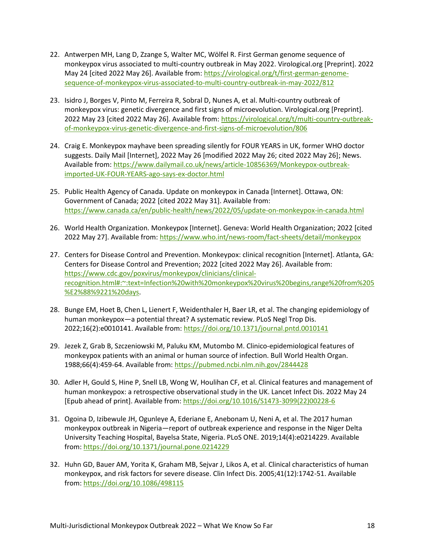- 22. Antwerpen MH, Lang D, Zzange S, Walter MC, Wölfel R. First German genome sequence of monkeypox virus associated to multi-country outbreak in May 2022. Virological.org [Preprint]. 2022 May 24 [cited 2022 May 26]. Available from: [https://virological.org/t/first-german-genome](https://virological.org/t/first-german-genome-sequence-of-monkeypox-virus-associated-to-multi-country-outbreak-in-may-2022/812)[sequence-of-monkeypox-virus-associated-to-multi-country-outbreak-in-may-2022/812](https://virological.org/t/first-german-genome-sequence-of-monkeypox-virus-associated-to-multi-country-outbreak-in-may-2022/812)
- 23. Isidro J, Borges V, Pinto M, Ferreira R, Sobral D, Nunes A, et al. Multi-country outbreak of monkeypox virus: genetic divergence and first signs of microevolution. Virological.org [Preprint]. 2022 May 23 [cited 2022 May 26]. Available from[: https://virological.org/t/multi-country-outbreak](https://virological.org/t/multi-country-outbreak-of-monkeypox-virus-genetic-divergence-and-first-signs-of-microevolution/806)[of-monkeypox-virus-genetic-divergence-and-first-signs-of-microevolution/806](https://virological.org/t/multi-country-outbreak-of-monkeypox-virus-genetic-divergence-and-first-signs-of-microevolution/806)
- 24. Craig E. Monkeypox mayhave been spreading silently for FOUR YEARS in UK, former WHO doctor suggests. Daily Mail [Internet], 2022 May 26 [modified 2022 May 26; cited 2022 May 26]; News. Available from[: https://www.dailymail.co.uk/news/article-10856369/Monkeypox-outbreak](http://www.dailymail.co.uk/news/article-10856369/Monkeypox-outbreak-imported-UK-FOUR-YEARS-ago-says-ex-doctor.html)[imported-UK-FOUR-YEARS-ago-says-ex-doctor.html](http://www.dailymail.co.uk/news/article-10856369/Monkeypox-outbreak-imported-UK-FOUR-YEARS-ago-says-ex-doctor.html)
- 25. Public Health Agency of Canada. Update on monkeypox in Canada [Internet]. Ottawa, ON: Government of Canada; 2022 [cited 2022 May 31]. Available from: [https://www.canada.ca/en/public-health/news/2022/05/update-on-monkeypox-in-canada.html](http://www.canada.ca/en/public-health/news/2022/05/update-on-monkeypox-in-canada.html)
- 26. World Health Organization. Monkeypox [Internet]. Geneva: World Health Organization; 2022 [cited 2022 May 27]. Available from: [https://www.who.int/news-room/fact-sheets/detail/monkeypox](http://www.who.int/news-room/fact-sheets/detail/monkeypox)
- 27. Centers for Disease Control and Prevention. Monkeypox: clinical recognition [Internet]. Atlanta, GA: Centers for Disease Control and Prevention; 2022 [cited 2022 May 26]. Available from: [https://www.cdc.gov/poxvirus/monkeypox/clinicians/clinical](http://www.cdc.gov/poxvirus/monkeypox/clinicians/clinical-recognition.html#:~:text=Infection%20with%20monkeypox%20virus%20begins,range%20from%205%E2%88%9221%20days)[recognition.html#:~:text=Infection%20with%20monkeypox%20virus%20begins,range%20from%205](http://www.cdc.gov/poxvirus/monkeypox/clinicians/clinical-recognition.html#:~:text=Infection%20with%20monkeypox%20virus%20begins,range%20from%205%E2%88%9221%20days) [%E2%88%9221%20days.](http://www.cdc.gov/poxvirus/monkeypox/clinicians/clinical-recognition.html#:~:text=Infection%20with%20monkeypox%20virus%20begins,range%20from%205%E2%88%9221%20days)
- 28. Bunge EM, Hoet B, Chen L, Lienert F, Weidenthaler H, Baer LR, et al. The changing epidemiology of human monkeypox—a potential threat? A systematic review. PLoS Negl Trop Dis. 2022;16(2):e0010141. Available from[: https://doi.org/10.1371/journal.pntd.0010141](https://doi.org/10.1371/journal.pntd.0010141)
- 29. Jezek Z, Grab B, Szczeniowski M, Paluku KM, Mutombo M. Clinico-epidemiological features of monkeypox patients with an animal or human source of infection. Bull World Health Organ. 1988;66(4):459-64. Available from[: https://pubmed.ncbi.nlm.nih.gov/2844428](https://pubmed.ncbi.nlm.nih.gov/2844428)
- 30. Adler H, Gould S, Hine P, Snell LB, Wong W, Houlihan CF, et al. Clinical features and management of human monkeypox: a retrospective observational study in the UK. Lancet Infect Dis. 2022 May 24 [Epub ahead of print]. Available from: [https://doi.org/10.1016/S1473-3099\(22\)00228-6](https://doi.org/10.1016/S1473-3099(22)00228-6)
- 31. Ogoina D, Izibewule JH, Ogunleye A, Ederiane E, Anebonam U, Neni A, et al. The 2017 human monkeypox outbreak in Nigeria—report of outbreak experience and response in the Niger Delta University Teaching Hospital, Bayelsa State, Nigeria. PLoS ONE. 2019;14(4):e0214229. Available from:<https://doi.org/10.1371/journal.pone.0214229>
- 32. Huhn GD, Bauer AM, Yorita K, Graham MB, Sejvar J, Likos A, et al. Clinical characteristics of human monkeypox, and risk factors for severe disease. Clin Infect Dis. 2005;41(12):1742-51. Available from:<https://doi.org/10.1086/498115>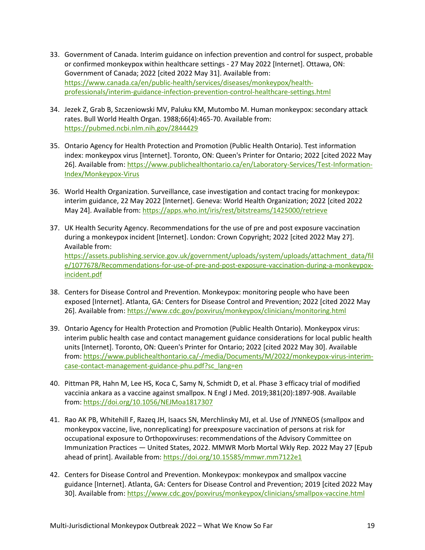- 33. Government of Canada. Interim guidance on infection prevention and control for suspect, probable or confirmed monkeypox within healthcare settings - 27 May 2022 [Internet]. Ottawa, ON: Government of Canada; 2022 [cited 2022 May 31]. Available from: [https://www.canada.ca/en/public-health/services/diseases/monkeypox/health](http://www.canada.ca/en/public-health/services/diseases/monkeypox/health-professionals/interim-guidance-infection-prevention-control-healthcare-settings.html)[professionals/interim-guidance-infection-prevention-control-healthcare-settings.html](http://www.canada.ca/en/public-health/services/diseases/monkeypox/health-professionals/interim-guidance-infection-prevention-control-healthcare-settings.html)
- 34. Jezek Z, Grab B, Szczeniowski MV, Paluku KM, Mutombo M. Human monkeypox: secondary attack rates. Bull World Health Organ. 1988;66(4):465-70. Available from: <https://pubmed.ncbi.nlm.nih.gov/2844429>
- 35. Ontario Agency for Health Protection and Promotion (Public Health Ontario). Test information index: monkeypox virus [Internet]. Toronto, ON: Queen's Printer for Ontario; 2022 [cited 2022 May 26]. Available from: [https://www.publichealthontario.ca/en/Laboratory-Services/Test-Information-](http://www.publichealthontario.ca/en/Laboratory-Services/Test-Information-Index/Monkeypox-Virus)[Index/Monkeypox-Virus](http://www.publichealthontario.ca/en/Laboratory-Services/Test-Information-Index/Monkeypox-Virus)
- 36. World Health Organization. Surveillance, case investigation and contact tracing for monkeypox: interim guidance, 22 May 2022 [Internet]. Geneva: World Health Organization; 2022 [cited 2022 May 24]. Available from:<https://apps.who.int/iris/rest/bitstreams/1425000/retrieve>
- 37. UK Health Security Agency. Recommendations for the use of pre and post exposure vaccination during a monkeypox incident [Internet]. London: Crown Copyright; 2022 [cited 2022 May 27]. Available from: [https://assets.publishing.service.gov.uk/government/uploads/system/uploads/attachment\\_data/fil](https://assets.publishing.service.gov.uk/government/uploads/system/uploads/attachment_data/file/1077678/Recommendations-for-use-of-pre-and-post-exposure-vaccination-during-a-monkeypox-incident.pdf) [e/1077678/Recommendations-for-use-of-pre-and-post-exposure-vaccination-during-a-monkeypox](https://assets.publishing.service.gov.uk/government/uploads/system/uploads/attachment_data/file/1077678/Recommendations-for-use-of-pre-and-post-exposure-vaccination-during-a-monkeypox-incident.pdf)[incident.pdf](https://assets.publishing.service.gov.uk/government/uploads/system/uploads/attachment_data/file/1077678/Recommendations-for-use-of-pre-and-post-exposure-vaccination-during-a-monkeypox-incident.pdf)
- 38. Centers for Disease Control and Prevention. Monkeypox: monitoring people who have been exposed [Internet]. Atlanta, GA: Centers for Disease Control and Prevention; 2022 [cited 2022 May 26]. Available from: [https://www.cdc.gov/poxvirus/monkeypox/clinicians/monitoring.html](http://www.cdc.gov/poxvirus/monkeypox/clinicians/monitoring.html)
- 39. Ontario Agency for Health Protection and Promotion (Public Health Ontario). Monkeypox virus: interim public health case and contact management guidance considerations for local public health units [Internet]. Toronto, ON: Queen's Printer for Ontario; 2022 [cited 2022 May 30]. Available from: [https://www.publichealthontario.ca/-/media/Documents/M/2022/monkeypox-virus-interim](http://www.publichealthontario.ca/-/media/Documents/M/2022/monkeypox-virus-interim-case-contact-management-guidance-phu.pdf?sc_lang=en)[case-contact-management-guidance-phu.pdf?sc\\_lang=en](http://www.publichealthontario.ca/-/media/Documents/M/2022/monkeypox-virus-interim-case-contact-management-guidance-phu.pdf?sc_lang=en)
- 40. Pittman PR, Hahn M, Lee HS, Koca C, Samy N, Schmidt D, et al. Phase 3 efficacy trial of modified vaccinia ankara as a vaccine against smallpox. N Engl J Med. 2019;381(20):1897-908. Available from:<https://doi.org/10.1056/NEJMoa1817307>
- 41. Rao AK PB, Whitehill F, Razeq JH, Isaacs SN, Merchlinsky MJ, et al. Use of JYNNEOS (smallpox and monkeypox vaccine, live, nonreplicating) for preexposure vaccination of persons at risk for occupational exposure to Orthopoxviruses: recommendations of the Advisory Committee on Immunization Practices — United States, 2022. MMWR Morb Mortal Wkly Rep. 2022 May 27 [Epub ahead of print]. Available from:<https://doi.org/10.15585/mmwr.mm7122e1>
- 42. Centers for Disease Control and Prevention. Monkeypox: monkeypox and smallpox vaccine guidance [Internet]. Atlanta, GA: Centers for Disease Control and Prevention; 2019 [cited 2022 May 30]. Available from: [https://www.cdc.gov/poxvirus/monkeypox/clinicians/smallpox-vaccine.html](http://www.cdc.gov/poxvirus/monkeypox/clinicians/smallpox-vaccine.html)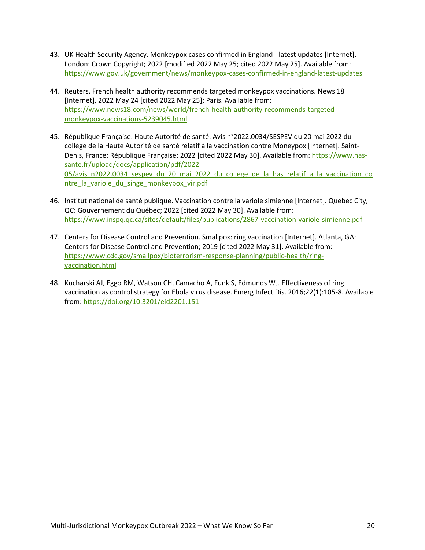- 43. UK Health Security Agency. Monkeypox cases confirmed in England latest updates [Internet]. London: Crown Copyright; 2022 [modified 2022 May 25; cited 2022 May 25]. Available from: [https://www.gov.uk/government/news/monkeypox-cases-confirmed-in-england-latest-updates](http://www.gov.uk/government/news/monkeypox-cases-confirmed-in-england-latest-updates)
- 44. Reuters. French health authority recommends targeted monkeypox vaccinations. News 18 [Internet], 2022 May 24 [cited 2022 May 25]; Paris. Available from: [https://www.news18.com/news/world/french-health-authority-recommends-targeted](http://www.news18.com/news/world/french-health-authority-recommends-targeted-monkeypox-vaccinations-5239045.html)[monkeypox-vaccinations-5239045.html](http://www.news18.com/news/world/french-health-authority-recommends-targeted-monkeypox-vaccinations-5239045.html)
- 45. République Française. Haute Autorité de santé. Avis n°2022.0034/SESPEV du 20 mai 2022 du collège de la Haute Autorité de santé relatif à la vaccination contre Moneypox [Internet]. SaintDenis, France: République Française; 2022 [cited 2022 May 30]. Available from: [https://www.has](http://www.has-sante.fr/upload/docs/application/pdf/2022-05/avis_n2022.0034_sespev_du_20_mai_2022_du_college_de_la_has_relatif_a_la_vaccination_contre_la_variole_du_singe_monkeypox_vir.pdf)[sante.fr/upload/docs/application/pdf/2022-](http://www.has-sante.fr/upload/docs/application/pdf/2022-05/avis_n2022.0034_sespev_du_20_mai_2022_du_college_de_la_has_relatif_a_la_vaccination_contre_la_variole_du_singe_monkeypox_vir.pdf) [05/avis\\_n2022.0034\\_sespev\\_du\\_20\\_mai\\_2022\\_du\\_college\\_de\\_la\\_has\\_relatif\\_a\\_la\\_vaccination\\_co](http://www.has-sante.fr/upload/docs/application/pdf/2022-05/avis_n2022.0034_sespev_du_20_mai_2022_du_college_de_la_has_relatif_a_la_vaccination_contre_la_variole_du_singe_monkeypox_vir.pdf) [ntre\\_la\\_variole\\_du\\_singe\\_monkeypox\\_vir.pdf](http://www.has-sante.fr/upload/docs/application/pdf/2022-05/avis_n2022.0034_sespev_du_20_mai_2022_du_college_de_la_has_relatif_a_la_vaccination_contre_la_variole_du_singe_monkeypox_vir.pdf)
- 46. Institut national de santé publique. Vaccination contre la variole simienne [Internet]. Quebec City, QC: Gouvernement du Québec; 2022 [cited 2022 May 30]. Available from: [https://www.inspq.qc.ca/sites/default/files/publications/2867-vaccination-variole-simienne.pdf](http://www.inspq.qc.ca/sites/default/files/publications/2867-vaccination-variole-simienne.pdf)
- 47. Centers for Disease Control and Prevention. Smallpox: ring vaccination [Internet]. Atlanta, GA: Centers for Disease Control and Prevention; 2019 [cited 2022 May 31]. Available from: [https://www.cdc.gov/smallpox/bioterrorism-response-planning/public-health/ring](http://www.cdc.gov/smallpox/bioterrorism-response-planning/public-health/ring-vaccination.html)[vaccination.html](http://www.cdc.gov/smallpox/bioterrorism-response-planning/public-health/ring-vaccination.html)
- 48. Kucharski AJ, Eggo RM, Watson CH, Camacho A, Funk S, Edmunds WJ. Effectiveness of ring vaccination as control strategy for Ebola virus disease. Emerg Infect Dis. 2016;22(1):105-8. Available from: https://doi.org/10.3201/eid2201.151